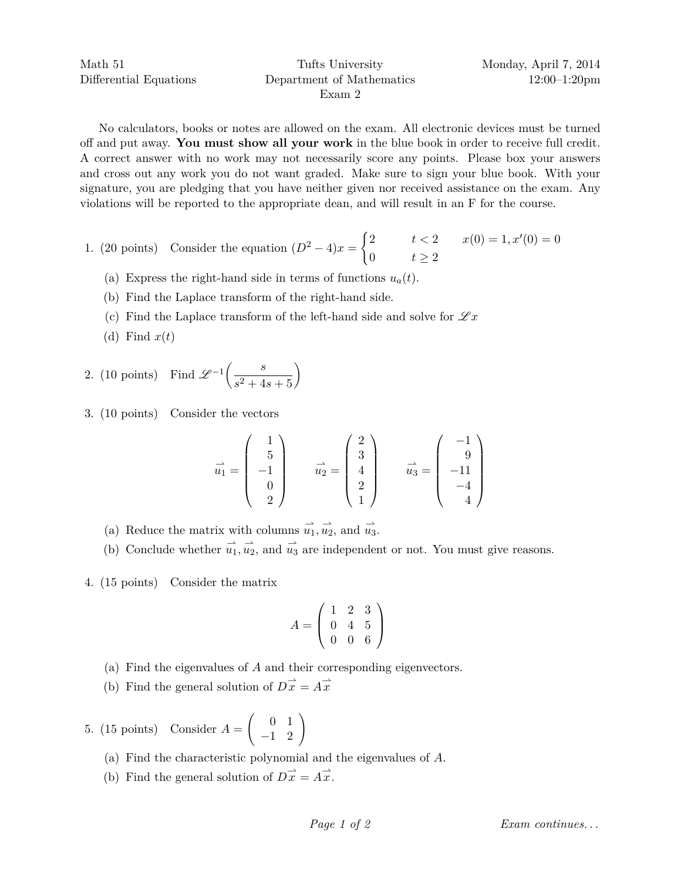No calculators, books or notes are allowed on the exam. All electronic devices must be turned off and put away. **You must show all your work** in the blue book in order to receive full credit. A correct answer with no work may not necessarily score any points. Please box your answers and cross out any work you do not want graded. Make sure to sign your blue book. With your signature, you are pledging that you have neither given nor received assistance on the exam. Any violations will be reported to the appropriate dean, and will result in an F for the course.

- 1. (20 points) Consider the equation  $(D^2 4)x =\begin{cases} 2 & t < 2 \\ 0 & t > 2 \end{cases}$   $x(0) = 1, x'(0) = 0$ 0  $t \geq 2$ 
	- (a) Express the right-hand side in terms of functions  $u_a(t)$ .
	- (b) Find the Laplace transform of the right-hand side.
	- (c) Find the Laplace transform of the left-hand side and solve for  $\mathscr{L}x$
	- (d) Find  $x(t)$

2. (10 points) Find 
$$
\mathcal{L}^{-1}\left(\frac{s}{s^2+4s+5}\right)
$$

3. (10 points) Consider the vectors

$$
\vec{u}_1 = \begin{pmatrix} 1 \\ 5 \\ -1 \\ 0 \\ 2 \end{pmatrix} \qquad \vec{u}_2 = \begin{pmatrix} 2 \\ 3 \\ 4 \\ 2 \\ 1 \end{pmatrix} \qquad \vec{u}_3 = \begin{pmatrix} -1 \\ 9 \\ -11 \\ -4 \\ 4 \end{pmatrix}
$$

- (a) Reduce the matrix with columns  $\overrightarrow{u_1}, \overrightarrow{u_2},$  and  $\overrightarrow{u_3}$ .
- (b) Conclude whether  $\vec{u}_1, \vec{u}_2$ , and  $\vec{u}_3$  are independent or not. You must give reasons.
- 4. (15 points) Consider the matrix

$$
A = \left(\begin{array}{rrr} 1 & 2 & 3 \\ 0 & 4 & 5 \\ 0 & 0 & 6 \end{array}\right)
$$

- (a) Find the eigenvalues of *A* and their corresponding eigenvectors.
- (b) Find the general solution of  $D\vec{x} = A\vec{x}$

5. (15 points) Consider  $A =$  $\left(\begin{array}{cc} 0 & 1 \\ -1 & 2 \end{array}\right)$ 

- (a) Find the characteristic polynomial and the eigenvalues of *A*.
- (b) Find the general solution of  $D\vec{x} = A\vec{x}$ .